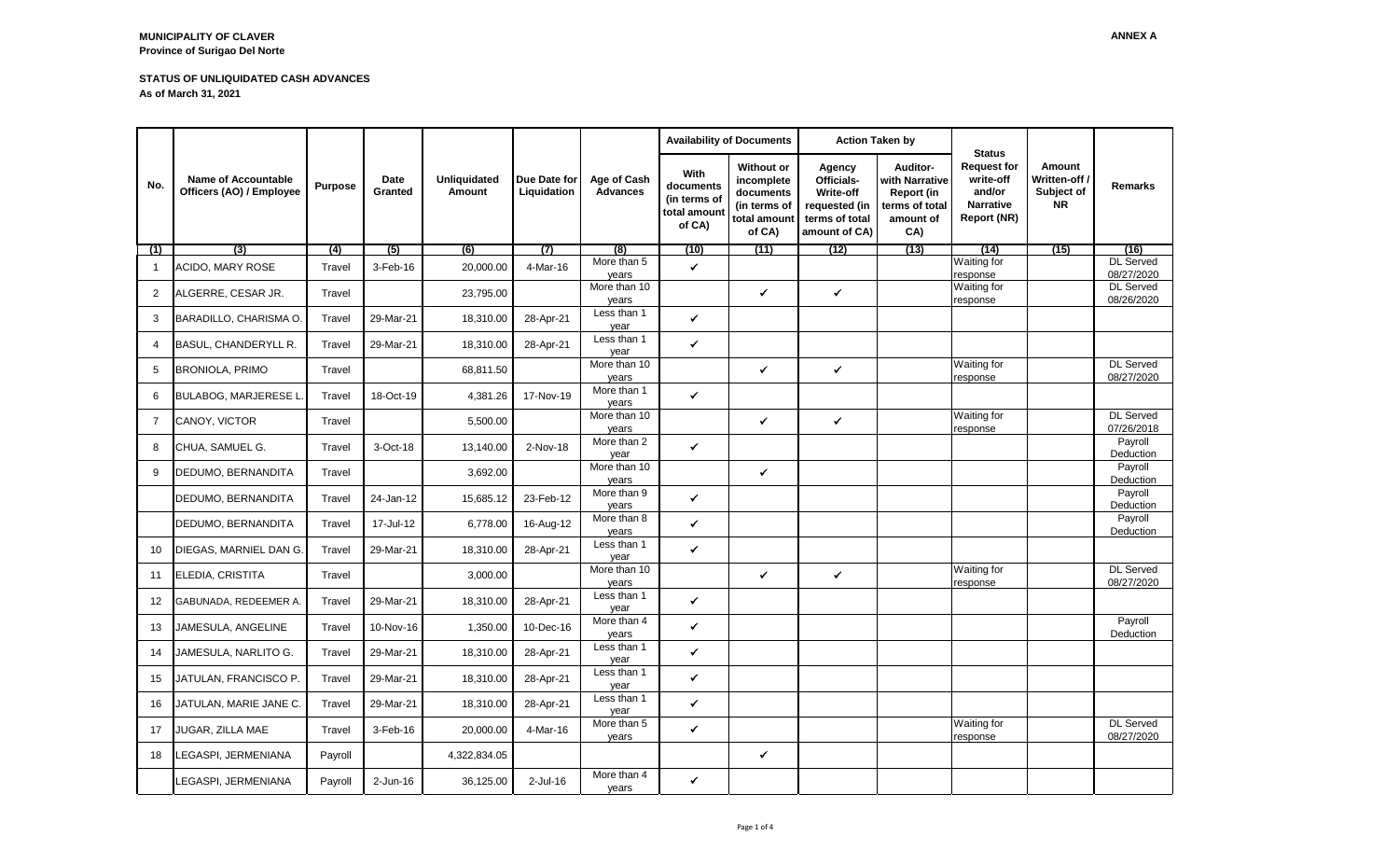## **STATUS OF UNLIQUIDATED CASH ADVANCES As of March 31, 2021**

|                | <b>Name of Accountable</b><br>Officers (AO) / Employee | <b>Purpose</b> | Date<br>Granted | <b>Unliquidated</b><br>Amount | Due Date for<br>Liquidation | Age of Cash<br><b>Advances</b> | <b>Availability of Documents</b>                                   |                                                                                        | <b>Action Taken by</b>                                                                       |                                                                                |                                                                                               |                                                    |                                |
|----------------|--------------------------------------------------------|----------------|-----------------|-------------------------------|-----------------------------|--------------------------------|--------------------------------------------------------------------|----------------------------------------------------------------------------------------|----------------------------------------------------------------------------------------------|--------------------------------------------------------------------------------|-----------------------------------------------------------------------------------------------|----------------------------------------------------|--------------------------------|
| No.            |                                                        |                |                 |                               |                             |                                | <b>With</b><br>documents<br>(in terms of<br>total amount<br>of CA) | <b>Without or</b><br>incomplete<br>documents<br>(in terms of<br>total amount<br>of CA) | Agency<br><b>Officials-</b><br>Write-off<br>requested (in<br>terms of total<br>amount of CA) | Auditor-<br>with Narrative<br>Report (in<br>terms of total<br>amount of<br>CA) | <b>Status</b><br><b>Request for</b><br>write-off<br>and/or<br><b>Narrative</b><br>Report (NR) | Amount<br>Written-off /<br>Subject of<br><b>NR</b> | <b>Remarks</b>                 |
| (1)            | (3)                                                    | (4)            | (5)             | (6)                           | (7)                         | (8)                            | (10)                                                               | (11)                                                                                   | (12)                                                                                         | (13)                                                                           | (14)                                                                                          | (15)                                               | (16)                           |
| $\mathbf{1}$   | ACIDO, MARY ROSE                                       | Travel         | 3-Feb-16        | 20,000.00                     | 4-Mar-16                    | More than 5<br>years           | $\checkmark$                                                       |                                                                                        |                                                                                              |                                                                                | Waiting for<br>response                                                                       |                                                    | <b>DL</b> Served<br>08/27/2020 |
| $\overline{2}$ | ALGERRE, CESAR JR.                                     | Travel         |                 | 23,795.00                     |                             | More than 10<br>years          |                                                                    | $\checkmark$                                                                           | $\checkmark$                                                                                 |                                                                                | Waiting for<br>response                                                                       |                                                    | <b>DL Served</b><br>08/26/2020 |
| 3              | BARADILLO, CHARISMA O.                                 | Travel         | 29-Mar-21       | 18,310.00                     | 28-Apr-21                   | Less than 1<br>year            | $\checkmark$                                                       |                                                                                        |                                                                                              |                                                                                |                                                                                               |                                                    |                                |
| 4              | BASUL, CHANDERYLL R.                                   | Travel         | 29-Mar-21       | 18,310.00                     | 28-Apr-21                   | Less than 1<br>year            | $\checkmark$                                                       |                                                                                        |                                                                                              |                                                                                |                                                                                               |                                                    |                                |
| 5              | <b>BRONIOLA, PRIMO</b>                                 | Travel         |                 | 68,811.50                     |                             | More than 10<br>years          |                                                                    | $\checkmark$                                                                           | $\checkmark$                                                                                 |                                                                                | Waiting for<br>response                                                                       |                                                    | <b>DL Served</b><br>08/27/2020 |
| 6              | <b>BULABOG, MARJERESE L</b>                            | Travel         | 18-Oct-19       | 4,381.26                      | 17-Nov-19                   | More than 1<br>years           | $\checkmark$                                                       |                                                                                        |                                                                                              |                                                                                |                                                                                               |                                                    |                                |
| $\overline{7}$ | CANOY, VICTOR                                          | Travel         |                 | 5,500.00                      |                             | More than 10<br>years          |                                                                    | $\checkmark$                                                                           | $\checkmark$                                                                                 |                                                                                | Waiting for<br>response                                                                       |                                                    | <b>DL</b> Served<br>07/26/2018 |
| 8              | CHUA, SAMUEL G.                                        | Travel         | 3-Oct-18        | 13,140.00                     | 2-Nov-18                    | More than 2<br>year            | $\checkmark$                                                       |                                                                                        |                                                                                              |                                                                                |                                                                                               |                                                    | Payroll<br>Deduction           |
| 9              | DEDUMO, BERNANDITA                                     | Travel         |                 | 3,692.00                      |                             | More than 10<br>years          |                                                                    | $\checkmark$                                                                           |                                                                                              |                                                                                |                                                                                               |                                                    | Payroll<br>Deduction           |
|                | DEDUMO, BERNANDITA                                     | Travel         | 24-Jan-12       | 15,685.12                     | 23-Feb-12                   | More than 9<br>years           | $\checkmark$                                                       |                                                                                        |                                                                                              |                                                                                |                                                                                               |                                                    | Payroll<br>Deduction           |
|                | DEDUMO, BERNANDITA                                     | Travel         | 17-Jul-12       | 6,778.00                      | 16-Aug-12                   | More than 8<br>years           | $\checkmark$                                                       |                                                                                        |                                                                                              |                                                                                |                                                                                               |                                                    | Payroll<br>Deduction           |
| 10             | DIEGAS, MARNIEL DAN G.                                 | Travel         | 29-Mar-21       | 18,310.00                     | 28-Apr-21                   | Less than 1<br>year            | $\checkmark$                                                       |                                                                                        |                                                                                              |                                                                                |                                                                                               |                                                    |                                |
| 11             | ELEDIA, CRISTITA                                       | Travel         |                 | 3,000.00                      |                             | More than 10<br>years          |                                                                    | $\checkmark$                                                                           | $\checkmark$                                                                                 |                                                                                | Waiting for<br>response                                                                       |                                                    | <b>DL</b> Served<br>08/27/2020 |
| 12             | GABUNADA, REDEEMER A.                                  | Travel         | 29-Mar-21       | 18,310.00                     | 28-Apr-21                   | Less than 1<br>year            | $\checkmark$                                                       |                                                                                        |                                                                                              |                                                                                |                                                                                               |                                                    |                                |
| 13             | JAMESULA, ANGELINE                                     | Travel         | 10-Nov-16       | 1,350.00                      | 10-Dec-16                   | More than 4<br>years           | $\checkmark$                                                       |                                                                                        |                                                                                              |                                                                                |                                                                                               |                                                    | Payroll<br>Deduction           |
| 14             | JAMESULA, NARLITO G.                                   | Travel         | 29-Mar-21       | 18,310.00                     | 28-Apr-21                   | Less than 1<br>year            | $\checkmark$                                                       |                                                                                        |                                                                                              |                                                                                |                                                                                               |                                                    |                                |
| 15             | JATULAN, FRANCISCO P.                                  | Travel         | 29-Mar-21       | 18,310.00                     | 28-Apr-21                   | Less than 1<br>year            | $\checkmark$                                                       |                                                                                        |                                                                                              |                                                                                |                                                                                               |                                                    |                                |
| 16             | JATULAN, MARIE JANE C.                                 | Travel         | 29-Mar-21       | 18,310.00                     | 28-Apr-21                   | Less than 1<br>year            | $\checkmark$                                                       |                                                                                        |                                                                                              |                                                                                |                                                                                               |                                                    |                                |
| 17             | JUGAR, ZILLA MAE                                       | Travel         | 3-Feb-16        | 20,000.00                     | 4-Mar-16                    | More than 5<br>years           | ✓                                                                  |                                                                                        |                                                                                              |                                                                                | Waiting for<br>response                                                                       |                                                    | <b>DL</b> Served<br>08/27/2020 |
| 18             | LEGASPI, JERMENIANA                                    | Payroll        |                 | 4,322,834.05                  |                             |                                |                                                                    | $\checkmark$                                                                           |                                                                                              |                                                                                |                                                                                               |                                                    |                                |
|                | LEGASPI, JERMENIANA                                    | Payroll        | $2$ -Jun-16     | 36,125.00                     | $2$ -Jul-16                 | More than 4<br>years           | $\checkmark$                                                       |                                                                                        |                                                                                              |                                                                                |                                                                                               |                                                    |                                |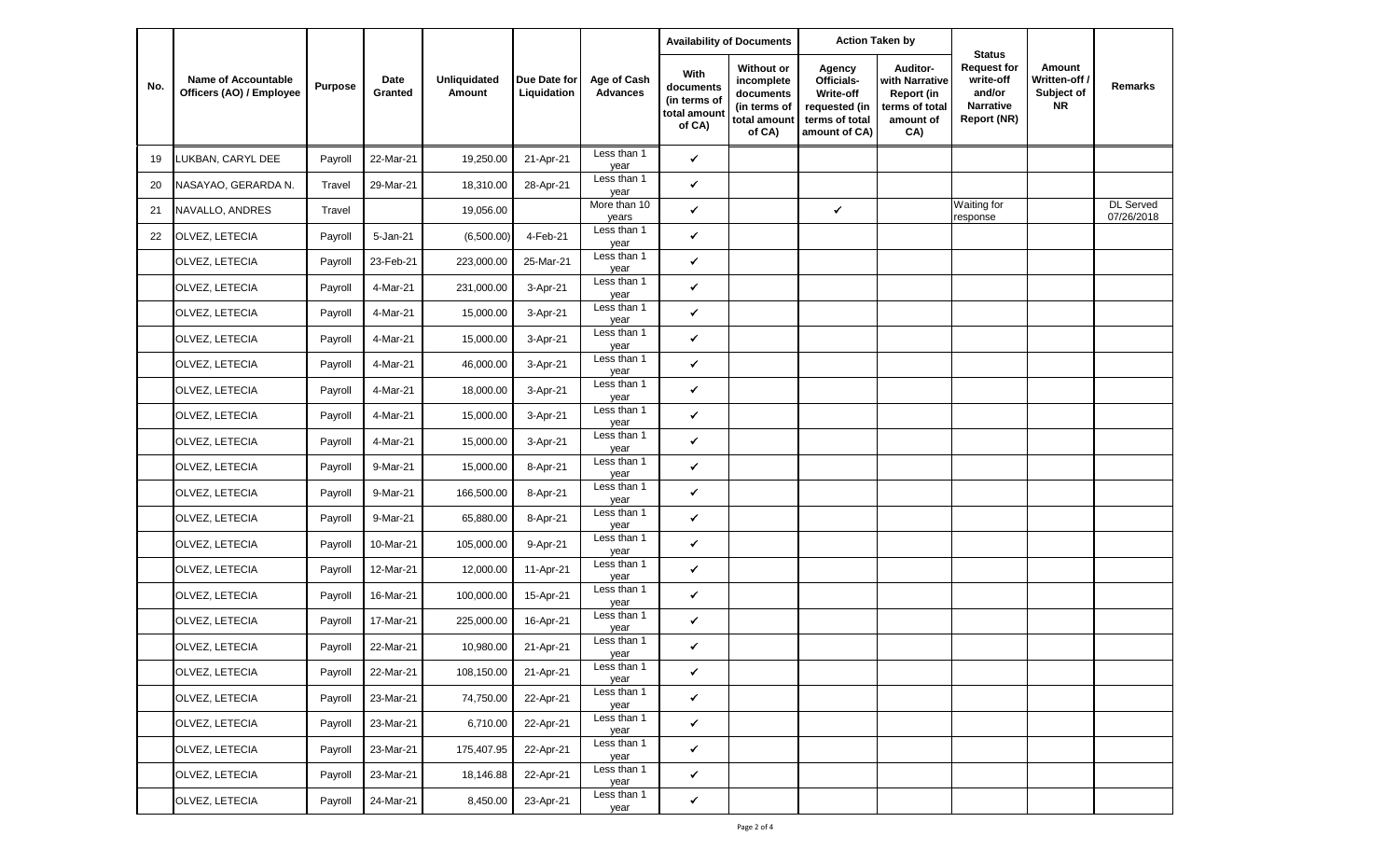|     | <b>Name of Accountable</b><br>Officers (AO) / Employee | <b>Purpose</b> | Date<br>Granted | Unliquidated<br>Amount | Due Date for<br>Liquidation | Age of Cash<br><b>Advances</b> | <b>Availability of Documents</b>                           |                                                                                       | <b>Action Taken by</b>                                                                |                                                                                | <b>Status</b>                                                                |                                                    |                         |
|-----|--------------------------------------------------------|----------------|-----------------|------------------------|-----------------------------|--------------------------------|------------------------------------------------------------|---------------------------------------------------------------------------------------|---------------------------------------------------------------------------------------|--------------------------------------------------------------------------------|------------------------------------------------------------------------------|----------------------------------------------------|-------------------------|
| No. |                                                        |                |                 |                        |                             |                                | With<br>documents<br>(in terms of<br>total amoun<br>of CA) | <b>Without or</b><br>incomplete<br>documents<br>(in terms of<br>total amoun<br>of CA) | Agency<br>Officials-<br>Write-off<br>requested (in<br>terms of total<br>amount of CA) | Auditor-<br>with Narrative<br>Report (in<br>terms of total<br>amount of<br>CA) | <b>Request for</b><br>write-off<br>and/or<br>Narrative<br><b>Report (NR)</b> | Amount<br>Written-off /<br>Subject of<br><b>NR</b> | Remarks                 |
| 19  | LUKBAN, CARYL DEE                                      | Payroll        | 22-Mar-21       | 19,250.00              | 21-Apr-21                   | Less than 1<br>year            | $\checkmark$                                               |                                                                                       |                                                                                       |                                                                                |                                                                              |                                                    |                         |
| 20  | NASAYAO, GERARDA N.                                    | Travel         | 29-Mar-21       | 18,310.00              | 28-Apr-21                   | Less than 1<br>year            | $\checkmark$                                               |                                                                                       |                                                                                       |                                                                                |                                                                              |                                                    |                         |
| 21  | NAVALLO, ANDRES                                        | Travel         |                 | 19,056.00              |                             | More than 10<br>years          | $\checkmark$                                               |                                                                                       | $\checkmark$                                                                          |                                                                                | <b>Waiting for</b><br>response                                               |                                                    | DL Served<br>07/26/2018 |
| 22  | OLVEZ, LETECIA                                         | Payroll        | 5-Jan-21        | (6,500.00)             | 4-Feb-21                    | Less than 1<br>year            | $\checkmark$                                               |                                                                                       |                                                                                       |                                                                                |                                                                              |                                                    |                         |
|     | OLVEZ, LETECIA                                         | Payroll        | 23-Feb-21       | 223,000.00             | 25-Mar-21                   | Less than 1<br>year            | $\checkmark$                                               |                                                                                       |                                                                                       |                                                                                |                                                                              |                                                    |                         |
|     | OLVEZ, LETECIA                                         | Payroll        | 4-Mar-21        | 231,000.00             | 3-Apr-21                    | Less than 1<br>year            | $\checkmark$                                               |                                                                                       |                                                                                       |                                                                                |                                                                              |                                                    |                         |
|     | OLVEZ, LETECIA                                         | Payroll        | 4-Mar-21        | 15,000.00              | 3-Apr-21                    | Less than 1<br>year            | $\checkmark$                                               |                                                                                       |                                                                                       |                                                                                |                                                                              |                                                    |                         |
|     | OLVEZ, LETECIA                                         | Payroll        | 4-Mar-21        | 15,000.00              | 3-Apr-21                    | Less than 1<br>year            | $\checkmark$                                               |                                                                                       |                                                                                       |                                                                                |                                                                              |                                                    |                         |
|     | OLVEZ, LETECIA                                         | Payroll        | 4-Mar-21        | 46,000.00              | 3-Apr-21                    | Less than 1<br>year            | $\checkmark$                                               |                                                                                       |                                                                                       |                                                                                |                                                                              |                                                    |                         |
|     | OLVEZ, LETECIA                                         | Payroll        | 4-Mar-21        | 18,000.00              | 3-Apr-21                    | Less than 1<br>year            | $\checkmark$                                               |                                                                                       |                                                                                       |                                                                                |                                                                              |                                                    |                         |
|     | OLVEZ, LETECIA                                         | Payroll        | 4-Mar-21        | 15,000.00              | 3-Apr-21                    | Less than 1<br>year            | $\checkmark$                                               |                                                                                       |                                                                                       |                                                                                |                                                                              |                                                    |                         |
|     | OLVEZ, LETECIA                                         | Payroll        | 4-Mar-21        | 15,000.00              | 3-Apr-21                    | Less than 1<br>year            | $\checkmark$                                               |                                                                                       |                                                                                       |                                                                                |                                                                              |                                                    |                         |
|     | OLVEZ, LETECIA                                         | Payroll        | 9-Mar-21        | 15,000.00              | 8-Apr-21                    | Less than 1<br>year            | $\checkmark$                                               |                                                                                       |                                                                                       |                                                                                |                                                                              |                                                    |                         |
|     | OLVEZ, LETECIA                                         | Payroll        | 9-Mar-21        | 166,500.00             | 8-Apr-21                    | Less than 1<br>year            | $\checkmark$                                               |                                                                                       |                                                                                       |                                                                                |                                                                              |                                                    |                         |
|     | OLVEZ, LETECIA                                         | Payroll        | 9-Mar-21        | 65,880.00              | 8-Apr-21                    | Less than 1<br>year            | $\checkmark$                                               |                                                                                       |                                                                                       |                                                                                |                                                                              |                                                    |                         |
|     | OLVEZ, LETECIA                                         | Payroll        | 10-Mar-21       | 105,000.00             | 9-Apr-21                    | Less than 1<br>year            | $\checkmark$                                               |                                                                                       |                                                                                       |                                                                                |                                                                              |                                                    |                         |
|     | OLVEZ, LETECIA                                         | Payroll        | 12-Mar-21       | 12,000.00              | 11-Apr-21                   | Less than 1<br>year            | $\checkmark$                                               |                                                                                       |                                                                                       |                                                                                |                                                                              |                                                    |                         |
|     | OLVEZ, LETECIA                                         | Payroll        | 16-Mar-21       | 100,000.00             | 15-Apr-21                   | Less than 1<br>year            | $\checkmark$                                               |                                                                                       |                                                                                       |                                                                                |                                                                              |                                                    |                         |
|     | OLVEZ, LETECIA                                         | Payroll        | 17-Mar-21       | 225,000.00             | 16-Apr-21                   | Less than 1<br>year            | $\checkmark$                                               |                                                                                       |                                                                                       |                                                                                |                                                                              |                                                    |                         |
|     | OLVEZ, LETECIA                                         | Payroll        | 22-Mar-21       | 10,980.00              | 21-Apr-21                   | Less than 1<br>year            | ✓                                                          |                                                                                       |                                                                                       |                                                                                |                                                                              |                                                    |                         |
|     | OLVEZ, LETECIA                                         | Payroll        | 22-Mar-21       | 108,150.00             | 21-Apr-21                   | Less than 1<br>year            | $\checkmark$                                               |                                                                                       |                                                                                       |                                                                                |                                                                              |                                                    |                         |
|     | OLVEZ, LETECIA                                         | Payroll        | 23-Mar-21       | 74,750.00              | 22-Apr-21                   | Less than 1<br>year            | $\checkmark$                                               |                                                                                       |                                                                                       |                                                                                |                                                                              |                                                    |                         |
|     | OLVEZ, LETECIA                                         | Payroll        | 23-Mar-21       | 6,710.00               | 22-Apr-21                   | Less than 1<br>year            | $\checkmark$                                               |                                                                                       |                                                                                       |                                                                                |                                                                              |                                                    |                         |
|     | OLVEZ, LETECIA                                         | Payroll        | 23-Mar-21       | 175,407.95             | 22-Apr-21                   | Less than 1<br>year            | $\checkmark$                                               |                                                                                       |                                                                                       |                                                                                |                                                                              |                                                    |                         |
|     | OLVEZ, LETECIA                                         | Payroll        | 23-Mar-21       | 18,146.88              | 22-Apr-21                   | Less than 1<br>year            | $\checkmark$                                               |                                                                                       |                                                                                       |                                                                                |                                                                              |                                                    |                         |
|     | OLVEZ, LETECIA                                         | Payroll        | 24-Mar-21       | 8,450.00               | 23-Apr-21                   | Less than 1<br>year            | $\checkmark$                                               |                                                                                       |                                                                                       |                                                                                |                                                                              |                                                    |                         |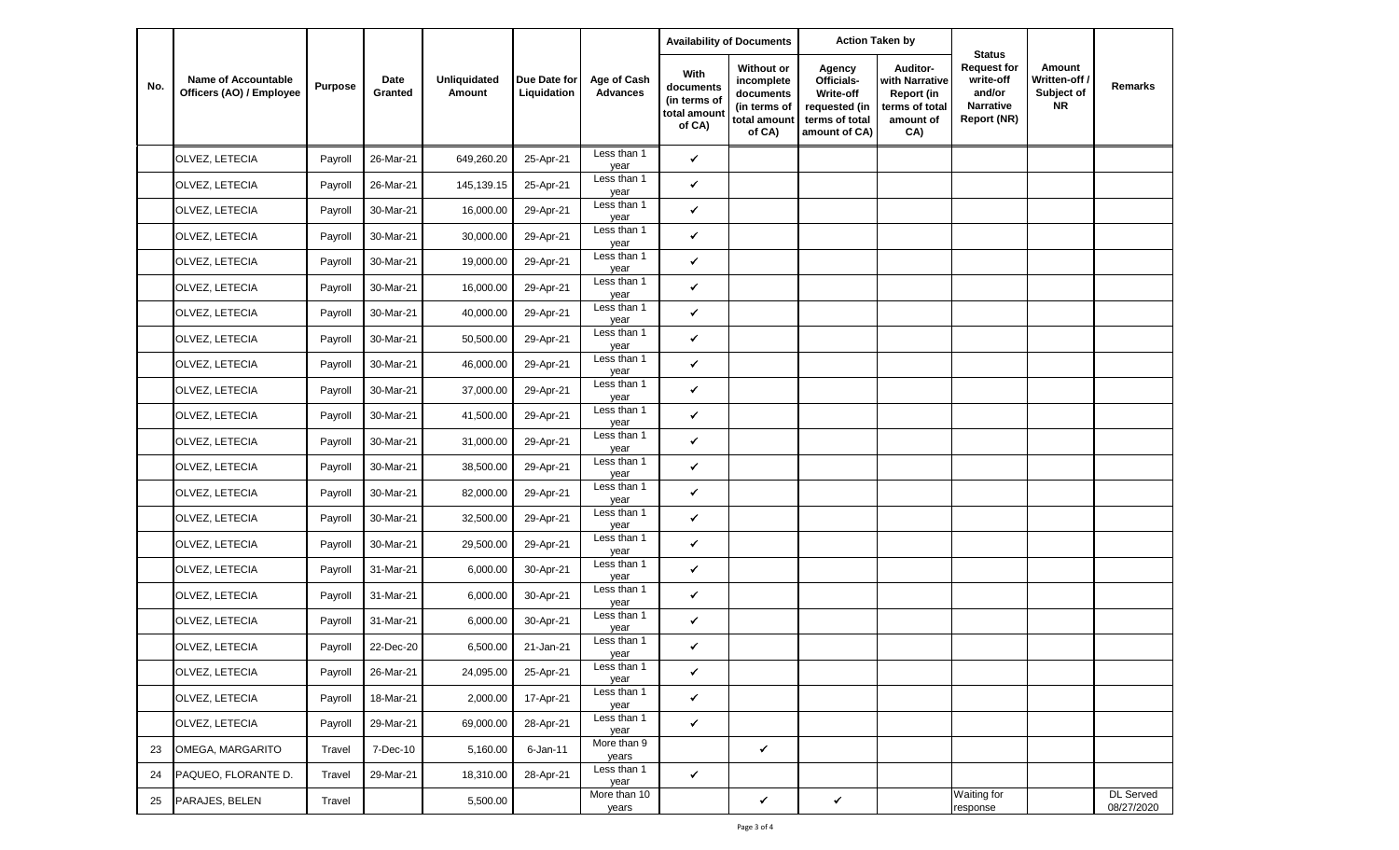|     | <b>Name of Accountable</b><br>Officers (AO) / Employee | <b>Purpose</b> | Date<br>Granted   | Unliquidated<br>Amount | Due Date for<br>Liquidation | Age of Cash<br><b>Advances</b> |                                                            | <b>Availability of Documents</b>                                               |                                                                                       | <b>Action Taken by</b>                                                         |                                                                                        |                                                    |                         |
|-----|--------------------------------------------------------|----------------|-------------------|------------------------|-----------------------------|--------------------------------|------------------------------------------------------------|--------------------------------------------------------------------------------|---------------------------------------------------------------------------------------|--------------------------------------------------------------------------------|----------------------------------------------------------------------------------------|----------------------------------------------------|-------------------------|
| No. |                                                        |                |                   |                        |                             |                                | With<br>documents<br>(in terms of<br>total amoun<br>of CA) | Without or<br>incomplete<br>documents<br>(in terms of<br>total amoun<br>of CA) | Agency<br>Officials-<br>Write-off<br>requested (in<br>terms of total<br>amount of CA) | Auditor-<br>with Narrative<br>Report (in<br>terms of total<br>amount of<br>CA) | <b>Status</b><br><b>Request for</b><br>write-off<br>and/or<br>Narrative<br>Report (NR) | Amount<br>Written-off /<br>Subject of<br><b>NR</b> | Remarks                 |
|     | OLVEZ, LETECIA                                         | Payroll        | 26-Mar-21         | 649,260.20             | 25-Apr-21                   | Less than 1<br>year            | $\checkmark$                                               |                                                                                |                                                                                       |                                                                                |                                                                                        |                                                    |                         |
|     | OLVEZ, LETECIA                                         | Payroll        | 26-Mar-21         | 145,139.15             | 25-Apr-21                   | Less than 1<br>year            | $\checkmark$                                               |                                                                                |                                                                                       |                                                                                |                                                                                        |                                                    |                         |
|     | OLVEZ, LETECIA                                         | Payroll        | 30-Mar-21         | 16,000.00              | 29-Apr-21                   | Less than 1<br>year            | $\checkmark$                                               |                                                                                |                                                                                       |                                                                                |                                                                                        |                                                    |                         |
|     | OLVEZ, LETECIA                                         | Payroll        | 30-Mar-21         | 30,000.00              | 29-Apr-21                   | Less than 1<br>year            | $\checkmark$                                               |                                                                                |                                                                                       |                                                                                |                                                                                        |                                                    |                         |
|     | OLVEZ, LETECIA                                         | Payroll        | 30-Mar-21         | 19,000.00              | 29-Apr-21                   | Less than 1<br>year            | $\checkmark$                                               |                                                                                |                                                                                       |                                                                                |                                                                                        |                                                    |                         |
|     | OLVEZ, LETECIA                                         | Payroll        | 30-Mar-21         | 16,000.00              | 29-Apr-21                   | Less than 1<br>year            | $\checkmark$                                               |                                                                                |                                                                                       |                                                                                |                                                                                        |                                                    |                         |
|     | OLVEZ, LETECIA                                         | Payroll        | 30-Mar-21         | 40,000.00              | 29-Apr-21                   | Less than 1<br>year            | $\checkmark$                                               |                                                                                |                                                                                       |                                                                                |                                                                                        |                                                    |                         |
|     | OLVEZ, LETECIA                                         | Payroll        | 30-Mar-21         | 50,500.00              | 29-Apr-21                   | Less than 1<br>year            | $\checkmark$                                               |                                                                                |                                                                                       |                                                                                |                                                                                        |                                                    |                         |
|     | OLVEZ, LETECIA                                         | Payroll        | 30-Mar-21         | 46,000.00              | 29-Apr-21                   | Less than 1<br>year            | $\checkmark$                                               |                                                                                |                                                                                       |                                                                                |                                                                                        |                                                    |                         |
|     | OLVEZ, LETECIA                                         | Payroll        | 30-Mar-21         | 37,000.00              | 29-Apr-21                   | Less than 1<br>year            | $\checkmark$                                               |                                                                                |                                                                                       |                                                                                |                                                                                        |                                                    |                         |
|     | OLVEZ, LETECIA                                         | Payroll        | 30-Mar-21         | 41,500.00              | 29-Apr-21                   | Less than 1<br>year            | $\checkmark$                                               |                                                                                |                                                                                       |                                                                                |                                                                                        |                                                    |                         |
|     | OLVEZ, LETECIA                                         | Payroll        | 30-Mar-21         | 31,000.00              | 29-Apr-21                   | Less than 1<br>year            | $\checkmark$                                               |                                                                                |                                                                                       |                                                                                |                                                                                        |                                                    |                         |
|     | OLVEZ, LETECIA                                         | Payroll        | 30-Mar-21         | 38,500.00              | 29-Apr-21                   | Less than 1<br>year            | $\checkmark$                                               |                                                                                |                                                                                       |                                                                                |                                                                                        |                                                    |                         |
|     | OLVEZ, LETECIA                                         | Payroll        | 30-Mar-21         | 82,000.00              | 29-Apr-21                   | Less than 1<br>year            | $\checkmark$                                               |                                                                                |                                                                                       |                                                                                |                                                                                        |                                                    |                         |
|     | OLVEZ, LETECIA                                         | Payroll        | 30-Mar-21         | 32,500.00              | 29-Apr-21                   | Less than 1<br>year            | $\checkmark$                                               |                                                                                |                                                                                       |                                                                                |                                                                                        |                                                    |                         |
|     | OLVEZ, LETECIA                                         | Payroll        | 30-Mar-21         | 29,500.00              | 29-Apr-21                   | Less than 1<br>year            | $\checkmark$                                               |                                                                                |                                                                                       |                                                                                |                                                                                        |                                                    |                         |
|     | OLVEZ, LETECIA                                         | Payroll        | 31-Mar-21         | 6,000.00               | 30-Apr-21                   | Less than 1<br>year            | $\checkmark$                                               |                                                                                |                                                                                       |                                                                                |                                                                                        |                                                    |                         |
|     | OLVEZ, LETECIA                                         | Payroll        | 31-Mar-21         | 6,000.00               | 30-Apr-21                   | Less than 1<br>year            | $\checkmark$                                               |                                                                                |                                                                                       |                                                                                |                                                                                        |                                                    |                         |
|     | OLVEZ, LETECIA                                         | Payroll        | 31-Mar-21         | 6,000.00               | 30-Apr-21                   | Less than 1<br>year            | $\checkmark$                                               |                                                                                |                                                                                       |                                                                                |                                                                                        |                                                    |                         |
|     | OLVEZ, LETECIA                                         |                | Payroll 22-Dec-20 |                        | 6,500.00 21-Jan-21          | Less than 1<br>year            | ✔                                                          |                                                                                |                                                                                       |                                                                                |                                                                                        |                                                    |                         |
|     | OLVEZ, LETECIA                                         | Payroll        | 26-Mar-21         | 24,095.00              | 25-Apr-21                   | Less than 1<br>year            | $\checkmark$                                               |                                                                                |                                                                                       |                                                                                |                                                                                        |                                                    |                         |
|     | OLVEZ, LETECIA                                         | Payroll        | 18-Mar-21         | 2,000.00               | 17-Apr-21                   | Less than 1<br>year            | $\checkmark$                                               |                                                                                |                                                                                       |                                                                                |                                                                                        |                                                    |                         |
|     | OLVEZ, LETECIA                                         | Payroll        | 29-Mar-21         | 69,000.00              | 28-Apr-21                   | Less than 1<br>year            | $\checkmark$                                               |                                                                                |                                                                                       |                                                                                |                                                                                        |                                                    |                         |
| 23  | OMEGA, MARGARITO                                       | Travel         | 7-Dec-10          | 5,160.00               | $6 - Jan-11$                | More than 9<br>years           |                                                            | $\checkmark$                                                                   |                                                                                       |                                                                                |                                                                                        |                                                    |                         |
| 24  | PAQUEO, FLORANTE D.                                    | Travel         | 29-Mar-21         | 18,310.00              | 28-Apr-21                   | Less than 1<br>year            | $\checkmark$                                               |                                                                                |                                                                                       |                                                                                |                                                                                        |                                                    |                         |
| 25  | PARAJES, BELEN                                         | Travel         |                   | 5,500.00               |                             | More than 10<br>years          |                                                            | $\checkmark$                                                                   | $\checkmark$                                                                          |                                                                                | <b>Waiting for</b><br>response                                                         |                                                    | DL Served<br>08/27/2020 |